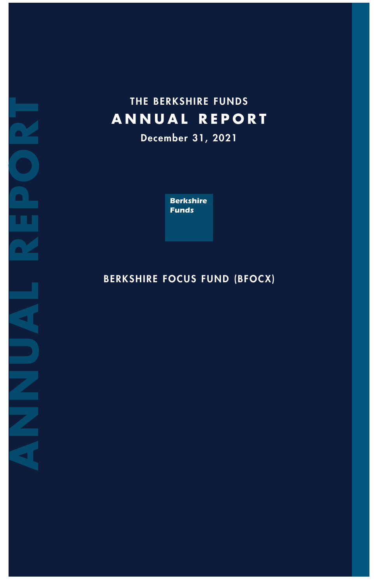# **T H E B E R K S H I R E F U N D S A N N U A L R E P O R T**

**D e c e m b e r 3 1 , 2 0 2 1**

**Berkshire** *F u n d s*

## BERKSHIRE FOCUS FUND (BFOCX)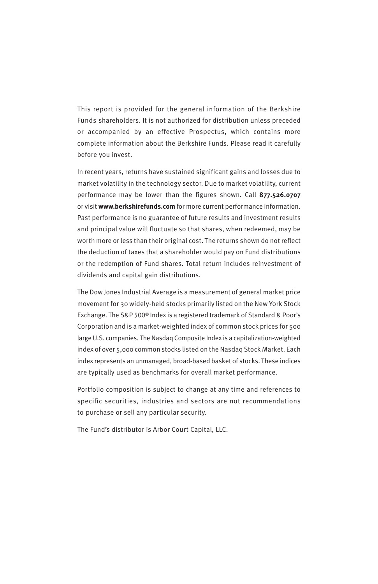This report is provided for the general information of the Berkshire Funds shareholders. It is not authorized for distribution unless preceded or accompanied by an effective Prospectus, which contains more complete information about the Berkshire Funds. Please read it carefully before you invest.

In recent years, returns have sustained significant gains and losses due to market volatility in the technology sector. Due to market volatility, current performance may be lower than the figures shown. Call **877.526.0707** or visit **www.berkshirefunds.com** for more current performance information. Past performance is no guarantee of future results and investment results and principal value will fluctuate so that shares, when redeemed, may be worth more or less than their original cost. The returns shown do not reflect the deduction of taxes that a shareholder would pay on Fund distributions or the redemption of Fund shares. Total return includes reinvestment of dividends and capital gain distributions.

The Dow Jones Industrial Average is a measurement of general market price movement for 30 widely-held stocks primarily listed on the New York Stock Exchange. The S&P 500® Index is a registered trademark of Standard & Poor's Corporation and is a market-weighted index of common stock prices for 500 large U.S. companies. The Nasdaq Composite Index is a capitalization-weighted index of over 5,000 common stocks listed on the Nasdaq Stock Market. Each index represents an unmanaged, broad-based basket of stocks. These indices are typically used as benchmarks for overall market performance.

Portfolio composition is subject to change at any time and references to specific securities, industries and sectors are not recommendations to purchase or sell any particular security.

The Fund's distributor is Arbor Court Capital, LLC.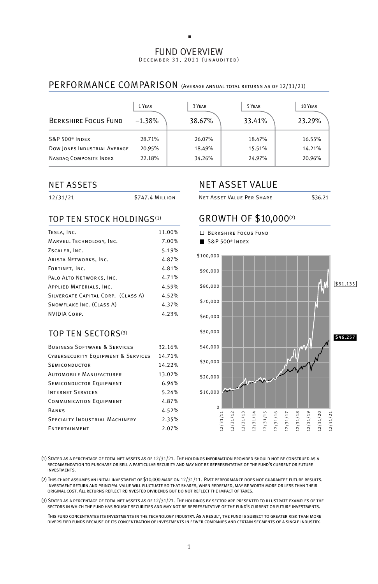#### FUND OVERVIEW DECEMBER 31, 2021 (UNAUDITED)

×

## PERFORMANCE COMPARISON (Average annual total returns as of 12/31/21)

| <b>BERKSHIRE FOCUS FUND</b>  | 1 YEAR<br>$-1.38%$ | 3 YEAR<br>38.67% | 5 YEAR<br>33.41% | 10 YEAR<br>23.29% |
|------------------------------|--------------------|------------------|------------------|-------------------|
| S&P 500 <sup>®</sup> INDEX   | 28.71%             | 26.07%           | 18.47%           | 16.55%            |
| DOW JONES INDUSTRIAL AVERAGE | 20.95%             | 18.49%           | 15.51%           | 14.21%            |
| NASDAO COMPOSITE INDEX       | 22.18%             | 34.26%           | 24.97%           | 20.96%            |

#### NET ASSETS

| 12/31/21 | <b>\$747.4 MILLION</b> |
|----------|------------------------|
|          |                        |

### TOP TEN STOCK HOLDINGS<sup>(1)</sup>

| TESLA, INC.                        | 11.00% |
|------------------------------------|--------|
| MARVELL TECHNOLOGY, INC.           | 7.00%  |
| ZSCALER, INC.                      | 5.19%  |
| ARISTA NETWORKS, INC.              | 4.87%  |
| FORTINET, INC.                     | 4.81%  |
| PALO ALTO NETWORKS, INC.           | 4.71%  |
| APPLIED MATERIALS, INC.            | 4.59%  |
| SILVERGATE CAPITAL CORP. (CLASS A) | 4.52%  |
| SNOWFLAKE INC. (CLASS A)           | 4.37%  |
| NVIDIA CORP.                       | 4.23%  |

#### TOP TEN SECTORS(3)

| <b>BUSINESS SOFTWARE &amp; SERVICES</b>       | 32.16% |
|-----------------------------------------------|--------|
| <b>CYBERSECURITY EQUIPMENT &amp; SERVICES</b> | 14.71% |
| <b>SEMICONDUCTOR</b>                          | 14.22% |
| <b>AUTOMOBILE MANUFACTURER</b>                | 13.02% |
| <b>SEMICONDUCTOR EQUIPMENT</b>                | 6.94%  |
| <b>INTERNET SERVICES</b>                      | 5.24%  |
| <b>COMMUNICATION EQUIPMENT</b>                | 4.87%  |
| BANKS                                         | 4.52%  |
| <b>SPECIALTY INDUSTRIAL MACHINERY</b>         | 2.35%  |
| ENTERTAINMENT                                 | 2.07%  |

## NET ASSET VALUE

NET ASSET VALUE PER SHARE \$36.21

## GROWTH OF \$10,000(2)



(1) Stated as a percentage of total net assets as of 12/31/21. The holdings information provided should not be construed as a recommendation to purchase or sell a particular security and may not be representative of the fund's current or future investments.

(2) This chart assumes an initial investment of \$10,000 made on 12/31/11. Past performance does not guarantee future results. Investment return and principal value will fluctuate so that shares, when redeemed, may be worth more or less than their original cost. All returns reflect reinvested dividends but do not reflect the impact of taxes.

(3) Stated as a percentage of total net assets as of 12/31/21. The holdings by sector are presented to illustrate examples of the sectors in which the fund has bought securities and may not be representative of the fund's current or future investments.

 This fund concentrates its investments in the technology industry. As a result, the fund is subject to greater risk than more diversified funds because of its concentration of investments in fewer companies and certain segments of a single industry.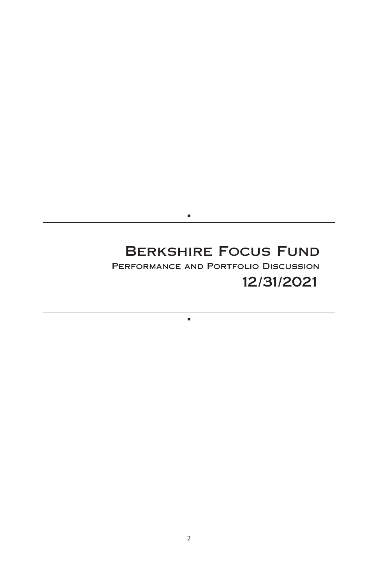## **Berkshire Focus Fund Performance and Portfolio Discussion 12/31/2021**

 $\blacksquare$ 

 $\blacksquare$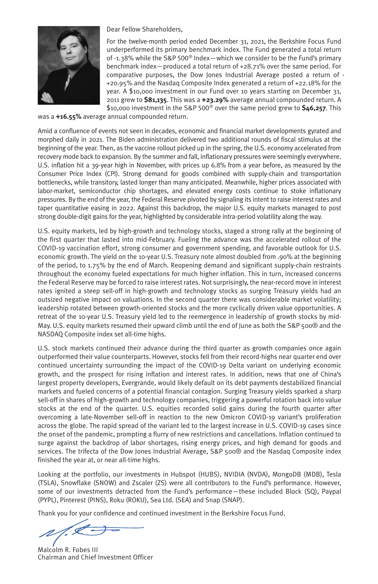

Dear Fellow Shareholders,

For the twelve-month period ended December 31, 2021, the Berkshire Focus Fund underperformed its primary benchmark index. The Fund generated a total return of -1.38% while the S&P 500® Index—which we consider to be the Fund's primary benchmark index—produced a total return of +28.71% over the same period. For comparative purposes, the Dow Jones Industrial Average posted a return of - +20.95% and the Nasdaq Composite Index generated a return of +22.18% for the year. A \$10,000 investment in our Fund over 10 years starting on December 31, 2011 grew to **\$81,135**. This was a **+23.29%** average annual compounded return. A \$10,000 investment in the S&P 500® over the same period grew to **\$46,257**. This

was a **+16.55%** average annual compounded return.

Amid a confluence of events not seen in decades, economic and financial market developments gyrated and morphed daily in 2021. The Biden administration delivered two additional rounds of fiscal stimulus at the beginning of the year. Then, as the vaccine rollout picked up in the spring, the U.S. economy accelerated from recovery mode back to expansion. By the summer and fall, inflationary pressures were seemingly everywhere. U.S. inflation hit a 39-year high in November, with prices up 6.8% from a year before, as measured by the Consumer Price Index (CPI). Strong demand for goods combined with supply-chain and transportation bottlenecks, while transitory, lasted longer than many anticipated. Meanwhile, higher prices associated with labor-market, semiconductor chip shortages, and elevated energy costs continue to stoke inflationary pressures. By the end of the year, the Federal Reserve pivoted by signaling its intent to raise interest rates and taper quantitative easing in 2022. Against this backdrop, the major U.S. equity markets managed to post strong double-digit gains for the year, highlighted by considerable intra-period volatility along the way.

U.S. equity markets, led by high-growth and technology stocks, staged a strong rally at the beginning of the first quarter that lasted into mid-February. Fueling the advance was the accelerated rollout of the COVID-19 vaccination effort, strong consumer and government spending, and favorable outlook for U.S. economic growth. The yield on the 10-year U.S. Treasury note almost doubled from .90% at the beginning of the period, to 1.75% by the end of March. Reopening demand and significant supply-chain restraints throughout the economy fueled expectations for much higher inflation. This in turn, increased concerns the Federal Reserve may be forced to raise interest rates. Not surprisingly, the near-record move in interest rates ignited a steep sell-off in high-growth and technology stocks as surging Treasury yields had an outsized negative impact on valuations. In the second quarter there was considerable market volatility; leadership rotated between growth-oriented stocks and the more cyclically driven value opportunities. A retreat of the 10-year U.S. Treasury yield led to the reemergence in leadership of growth stocks by mid-May. U.S. equity markets resumed their upward climb until the end of June as both the S&P 500® and the NASDAQ Composite index set all-time highs.

U.S. stock markets continued their advance during the third quarter as growth companies once again outperformed their value counterparts. However, stocks fell from their record-highs near quarter end over continued uncertainty surrounding the impact of the COVID-19 Delta variant on underlying economic growth, and the prospect for rising inflation and interest rates. In addition, news that one of China's largest property developers, Evergrande, would likely default on its debt payments destabilized financial markets and fueled concerns of a potential financial contagion. Surging Treasury yields sparked a sharp sell-off in shares of high-growth and technology companies, triggering a powerful rotation back into value stocks at the end of the quarter. U.S. equities recorded solid gains during the fourth quarter after overcoming a late-November sell-off in reaction to the new Omicron COVID-19 variant's proliferation across the globe. The rapid spread of the variant led to the largest increase in U.S. COVID-19 cases since the onset of the pandemic, prompting a flurry of new restrictions and cancellations. Inflation continued to surge against the backdrop of labor shortages, rising energy prices, and high demand for goods and services. The trifecta of the Dow Jones Industrial Average, S&P 500® and the Nasdaq Composite index finished the year at, or near all-time highs.

Looking at the portfolio, our investments in Hubspot (HUBS), NVIDIA (NVDA), MongoDB (MDB), Tesla (TSLA), Snowflake (SNOW) and Zscaler (ZS) were all contributors to the Fund's performance. However, some of our investments detracted from the Fund's performance—these included Block (SQ), Paypal (PYPL), Pinterest (PINS), Roku (ROKU), Sea Ltd. (SEA) and Snap (SNAP).

Thank you for your confidence and continued investment in the Berkshire Focus Fund.

' I

Malcolm R. Fobes III Chairman and Chief Investment Officer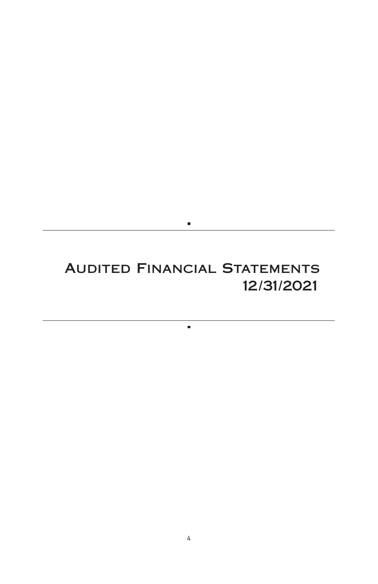## **Audited Financial Statements 12/31/2021**

 $\blacksquare$ 

 $\blacksquare$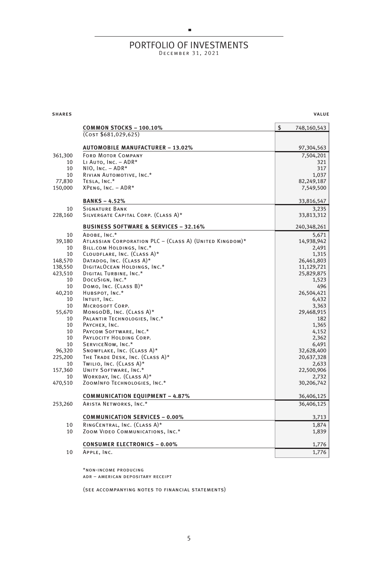# PORTFOLIO OF INVESTMENTS

 $\blacksquare$ 

| <b>SHARES</b> | <b>VALUE</b> |
|---------------|--------------|
|               |              |

|         | <b>COMMON STOCKS - 100.10%</b>                          | \$<br>748,160,543 |
|---------|---------------------------------------------------------|-------------------|
|         | (COST \$681,029,625)                                    |                   |
|         | <b>AUTOMOBILE MANUFACTURER - 13.02%</b>                 | 97,304,563        |
| 361,300 | <b>FORD MOTOR COMPANY</b>                               | 7,504,201         |
| 10      | LI AUTO, INC. - ADR*                                    | 321               |
| 10      | $NIO, Inc. - ADR*$                                      | 317               |
| 10      | RIVIAN AUTOMOTIVE, INC.*                                | 1,037             |
| 77,830  | TESLA, INC.*                                            | 82,249,187        |
| 150,000 | XPENG, INC. - ADR*                                      | 7,549,500         |
|         | <b>BANKS-4.52%</b>                                      | 33,816,547        |
| 10      | <b>SIGNATURE BANK</b>                                   | 3,235             |
| 228,160 | SILVERGATE CAPITAL CORP. (CLASS A)*                     | 33,813,312        |
|         | <b>BUSINESS SOFTWARE &amp; SERVICES - 32.16%</b>        | 240,348,261       |
| 10      | ADOBE, INC.*                                            | 5,671             |
| 39,180  | ATLASSIAN CORPORATION PLC - (CLASS A) (UNITED KINGDOM)* | 14,938,942        |
| 10      | BILL.COM HOLDINGS, INC.*                                | 2,491             |
| 10      | CLOUDFLARE, INC. (CLASS A)*                             | 1,315             |
| 148,570 | DATADOG, INC. (CLASS A)*                                | 26,461,803        |
| 138,550 | DIGITALOCEAN HOLDINGS, INC.*                            | 11,129,721        |
| 423,510 | DIGITAL TURBINE, INC.*                                  | 25,829,875        |
| 10      | DOCUSIGN, INC.*                                         | 1,523             |
| 10      | DOMO, INC. (CLASS B)*                                   | 496               |
| 40,210  | HUBSPOT, INC.*                                          | 26,504,421        |
| 10      | INTUIT, INC.                                            | 6,432             |
| 10      | <b>MICROSOFT CORP.</b>                                  | 3,363             |
| 55,670  | MONGODB, INC. (CLASS A)*                                | 29,468,915        |
| 10      | PALANTIR TECHNOLOGIES, INC.*                            | 182               |
| 10      | PAYCHEX, INC.                                           | 1.365             |
| 10      | PAYCOM SOFTWARE, INC.*                                  | 4,152             |
| 10      | PAYLOCITY HOLDING CORP.                                 | 2,362             |
| 10      | SERVICENOW, INC.*                                       | 6.491             |
| 96.320  | SNOWFLAKE, INC. (CLASS A)*                              | 32,628,400        |
| 225,200 | THE TRADE DESK, INC. (CLASS A)*                         | 20,637,328        |
| 10      | TWILIO, INC. (CLASS A)*                                 | 2,633             |
| 157,360 | UNITY SOFTWARE, INC.*                                   | 22,500,906        |
| 10      | WORKDAY, INC. (CLASS A)*                                | 2,732             |
| 470,510 | ZOOMINFO TECHNOLOGIES, INC.*                            | 30,206,742        |
|         | <b>COMMUNICATION EQUIPMENT - 4.87%</b>                  | 36,406,125        |
| 253,260 | ARISTA NETWORKS, INC.*                                  | 36,406,125        |
|         | <b>COMMUNICATION SERVICES - 0.00%</b>                   | 3,713             |
|         |                                                         |                   |
| 10      | RINGCENTRAL, INC. (CLASS A)*                            | 1,874             |
| 10      | ZOOM VIDEO COMMUNICATIONS, INC.*                        | 1,839             |
|         | <b>CONSUMER ELECTRONICS - 0.00%</b>                     | 1,776             |
| 10      | APPLE, INC.                                             | 1,776             |

\*non-income producing adr – american depositary receipt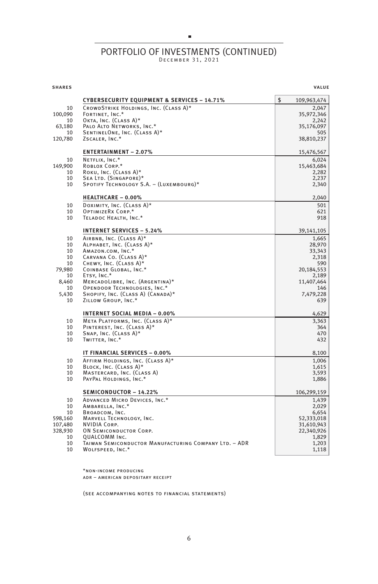#### PORTFOLIO OF INVESTMENTS (CONTINUED) DECEMBER 31, 2021

×

shares value of the contract of the contract of the contract of the contract of the contract of the contract of the contract of the contract of the contract of the contract of the contract of the contract of the contract o **CYBERSECURITY EQUIPMENT & SERVICES – 14.71%** \$ 109,963,474 10 CROWDSTRIKE HOLDINGS, INC. (CLASS A)\* 2,047 100,090 Fortinet, Inc.\* 35,972,346 10 OKTA, INC.  $(CLASS A)^*$  2,242 63,180 Palo Alto Networks, Inc.\* 35,176,097 10 SENTINELONE, INC. (CLASS A)\* 505<br>
20 SENTINELONE, INC. (CLASS A)\* 505<br>
38,810,237<br>
38,810,237 120,780 ZSCALER, INC.\* **ENTERTAINMENT – 2.07%** 15,476,567 10 NETFLIX, INC.\* 6,024<br>149,900 ROBLOX CORP.\* 15,463,684 ROBLOX CORP.\* 15,463,684 10 Roku, Inc.  $(Class A)^*$  2,282 10 SEA LTD. (SINGAPORE)\* 2,237 10 SPOTIFY TECHNOLOGY S.A. – (LUXEMBOURG)\* 2,340 **HEALTHCARE – 0.00%** 2,040 10 DOXIMITY, INC. (CLASS A)\* 501 10 OPTIMIZERX CORP.\* 621 10 TELADOC HEALTH, INC.\* 918 **INTERNET SERVICES – 5.24%** 39,141,105 10 AIRBNB, INC.  $(Class A)^*$  1,665 10 Alphabet, Inc. (Class A)\* 28,970 10 AMAZON.COM, INC.\*  $33,343$ <br>10 CARVANA CO. (CLASS A)\* 2,318 10 CARVANA Co. (CLASS A)\* 10 Chewy, Inc. (Class A)\* 590 COINBASE GLOBAL, INC.\* 10 Etsy, Inc.\* 2,189 8,460 MERCADOLIBRE, INC. (ARGENTINA)\* 11,407,464 10 OPENDOOR TECHNOLOGIES, INC.\* 146 Processes and the control of the control of the control of the control of the control of the control of the control of the control of the control of the control of the control of the con 5.430 SHOPIFY, INC. (CLASS A) (CANADA)\* 10 Zillow Group, Inc.\* 639 **INTERNET SOCIAL MEDIA – 0.00%** 4,629 10 META PLATFORMS, INC. (CLASS A)\* 3,363 10 PINTEREST, INC. (CLASS A)\* 364  $10$  Snap, Inc. (Class A)\*  $470$ 10 TWITTER, INC.\* 432 **IT FINANCIAL SERVICES – 0.00%** 8,100 10 AFFIRM HOLDINGS, INC. (CLASS A)\* 1,006 10 BLOCK, Inc. (CLASS A)\* 1,615 10 MASTERCARD, INC. (CLASS A) 3,593 10 PAYPAL HOLDINGS, INC.\* 1,886 **SEMICONDUCTOR – 14.22%** 106,299,159 10 ADVANCED MICRO DEVICES, INC.\* 1,439 10 Ambarella, Inc.\* 2,029 10 BROADCOM, INC. 6,654 598,160 Marvell Technology, Inc. 52,333,018 107,480 NVIDIA Corp. 31,610,943 328,930 ON SEMICONDUCTOR CORP. 10 QUALCOMM Inc. 1,829 10 TAIWAN SEMICONDUCTOR MANUFACTURING COMPANY LTD. - ADR 1,203 10 WOLFSPEED, INC.\* 1,118

> \*non-income producing adr – american depositary receipt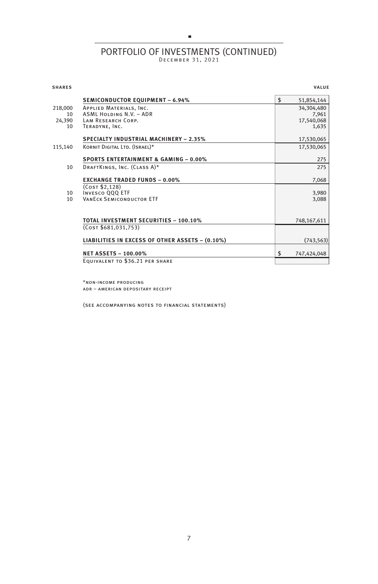# PORTFOLIO OF INVESTMENTS (CONTINUED)

 $\blacksquare$ 

| <b>SHARES</b> |                                                  | <b>VALUE</b>      |
|---------------|--------------------------------------------------|-------------------|
|               | <b>SEMICONDUCTOR EQUIPMENT - 6.94%</b>           | \$<br>51,854,144  |
| 218,000       | APPLIED MATERIALS, INC.                          | 34,304,480        |
| 10            | <b>ASML HOLDING N.V. - ADR</b>                   | 7,961             |
| 24.390<br>10  | LAM RESEARCH CORP.                               | 17,540,068        |
|               | TERADYNE, INC.                                   | 1,635             |
|               | <b>SPECIALTY INDUSTRIAL MACHINERY - 2.35%</b>    | 17,530,065        |
| 115,140       | KORNIT DIGITAL LTD. (ISRAEL)*                    | 17,530,065        |
|               | <b>SPORTS ENTERTAINMENT &amp; GAMING - 0.00%</b> | 275               |
| 10            | DRAFTKINGS, INC. (CLASS A)*                      | 275               |
|               | <b>EXCHANGE TRADED FUNDS - 0.00%</b>             | 7,068             |
|               | (COST \$2,128)                                   |                   |
| 10            | <b>INVESCO QQQ ETF</b>                           | 3,980             |
| 10            | <b>VANECK SEMICONDUCTOR ETF</b>                  | 3,088             |
|               |                                                  |                   |
|               | <b>TOTAL INVESTMENT SECURITIES - 100.10%</b>     | 748,167,611       |
|               | (Cos <sub>T</sub> \$681,031,753)                 |                   |
|               | LIABILITIES IN EXCESS OF OTHER ASSETS - (0.10%)  | (743, 563)        |
|               | <b>NET ASSETS - 100.00%</b>                      | \$<br>747,424,048 |
|               | EQUIVALENT TO \$36.21 PER SHARE                  |                   |
|               |                                                  |                   |

\*non-income producing adr – american depositary receipt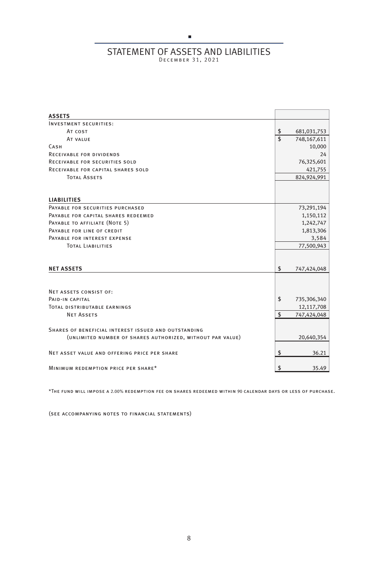## $\blacksquare$ STATEMENT OF ASSETS AND LIABILITIES

| <b>ASSETS</b>                                              |                   |
|------------------------------------------------------------|-------------------|
| <b>INVESTMENT SECURITIES:</b>                              |                   |
| AT COST                                                    | \$<br>681,031,753 |
| AT VALUE                                                   | \$<br>748,167,611 |
| <b>CASH</b>                                                | 10,000            |
| <b>RECEIVABLE FOR DIVIDENDS</b>                            | 24                |
| RECEIVABLE FOR SECURITIES SOLD                             | 76,325,601        |
| RECEIVABLE FOR CAPITAL SHARES SOLD                         | 421,755           |
| <b>TOTAL ASSETS</b>                                        | 824,924,991       |
| <b>LIABILITIES</b>                                         |                   |
| PAYABLE FOR SECURITIES PURCHASED                           | 73,291,194        |
| PAYABLE FOR CAPITAL SHARES REDEEMED                        | 1,150,112         |
| PAYABLE TO AFFILIATE (NOTE 5)                              | 1,242,747         |
| PAYABLE FOR LINE OF CREDIT                                 | 1,813,306         |
| PAYABLE FOR INTEREST EXPENSE                               | 3,584             |
| <b>TOTAL LIABILITIES</b>                                   | 77,500,943        |
|                                                            |                   |
| <b>NET ASSETS</b>                                          | \$<br>747,424,048 |
|                                                            |                   |
| NET ASSETS CONSIST OF:                                     |                   |
| PAID-IN CAPITAL                                            | \$<br>735,306,340 |
| <b>TOTAL DISTRIBUTABLE EARNINGS</b>                        | 12,117,708        |
| <b>NET ASSETS</b>                                          | \$<br>747,424,048 |
| SHARES OF BENEFICIAL INTEREST ISSUED AND OUTSTANDING       |                   |
| (UNLIMITED NUMBER OF SHARES AUTHORIZED, WITHOUT PAR VALUE) | 20,640,354        |
| NET ASSET VALUE AND OFFERING PRICE PER SHARE               | \$<br>36.21       |
| MINIMUM REDEMPTION PRICE PER SHARE*                        | \$<br>35.49       |

\*The fund will impose a 2.00% redemption fee on shares redeemed within 90 calendar days or less of purchase.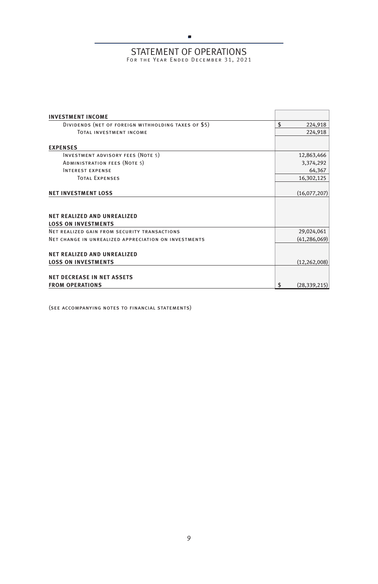## $\blacksquare$ STATEMENT OF OPERATIONS<br>For the Year Ended December 31, 2021

| <b>INVESTMENT INCOME</b>                                         |                      |
|------------------------------------------------------------------|----------------------|
| DIVIDENDS (NET OF FOREIGN WITHHOLDING TAXES OF \$5)              | \$<br>224,918        |
| TOTAL INVESTMENT INCOME                                          | 224,918              |
| <b>EXPENSES</b>                                                  |                      |
| <b>INVESTMENT ADVISORY FEES (NOTE 5)</b>                         | 12,863,466           |
| ADMINISTRATION FEES (NOTE 5)                                     | 3,374,292            |
| <b>INTEREST EXPENSE</b>                                          | 64,367               |
| <b>TOTAL EXPENSES</b>                                            | 16,302,125           |
| <b>NET INVESTMENT LOSS</b>                                       | (16,077,207)         |
| <b>NFT REALIZED AND UNREALIZED</b><br><b>LOSS ON INVESTMENTS</b> |                      |
| NET REALIZED GAIN FROM SECURITY TRANSACTIONS                     | 29,024,061           |
| NET CHANGE IN UNREALIZED APPRECIATION ON INVESTMENTS             | (41, 286, 069)       |
| <b>NET REALIZED AND UNREALIZED</b>                               |                      |
| <b>LOSS ON INVESTMENTS</b>                                       | (12, 262, 008)       |
| <b>NET DECREASE IN NET ASSETS</b>                                |                      |
| <b>FROM OPERATIONS</b>                                           | \$<br>(28, 339, 215) |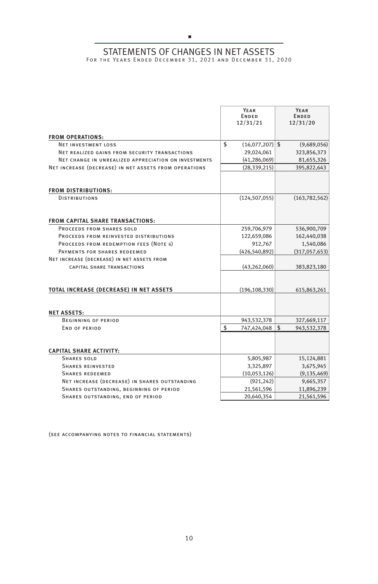## $\blacksquare$ STATEMENTS OF CHANGES IN NET ASSETS<br>For the Years Ended December 31, 2021 and December 31, 2020

|                                                       | YEAR<br><b>ENDED</b><br>12/31/21 | YEAR<br><b>ENDED</b><br>12/31/20 |
|-------------------------------------------------------|----------------------------------|----------------------------------|
| <b>FROM OPERATIONS:</b>                               |                                  |                                  |
| <b>NET INVESTMENT LOSS</b>                            | \$<br>$(16,077,207)$ \$          | (9,689,056)                      |
| NET REALIZED GAINS FROM SECURITY TRANSACTIONS         | 29,024,061                       | 323,856,373                      |
| NET CHANGE IN UNREALIZED APPRECIATION ON INVESTMENTS  | (41, 286, 069)                   | 81,655,326                       |
| NET INCREASE (DECREASE) IN NET ASSETS FROM OPERATIONS | (28, 339, 215)                   | 395,822,643                      |
| <b>FROM DISTRIBUTIONS:</b>                            |                                  |                                  |
| <b>DISTRIBUTIONS</b>                                  | (124, 507, 055)                  | (163, 782, 562)                  |
| <b>FROM CAPITAL SHARE TRANSACTIONS:</b>               |                                  |                                  |
| PROCEEDS FROM SHARES SOLD                             | 259,706,979                      | 536,900,709                      |
| PROCEEDS FROM REINVESTED DISTRIBUTIONS                | 122,659,086                      | 162,440,038                      |
| PROCEEDS FROM REDEMPTION FEES (NOTE 6)                | 912,767                          | 1,540,086                        |
| PAYMENTS FOR SHARES REDEEMED                          | (426, 540, 892)                  | (317,057,653)                    |
| NET INCREASE (DECREASE) IN NET ASSETS FROM            |                                  |                                  |
| CAPITAL SHARE TRANSACTIONS                            | (43, 262, 060)                   | 383,823,180                      |
| TOTAL INCREASE (DECREASE) IN NET ASSETS               | (196, 108, 330)                  | 615,863,261                      |
| <b>NET ASSETS:</b>                                    |                                  |                                  |
| <b>BEGINNING OF PERIOD</b>                            | 943,532,378                      | 327,669,117                      |
| END OF PERIOD                                         | \$<br>747,424,048                | \$<br>943,532,378                |
| <b>CAPITAL SHARE ACTIVITY:</b>                        |                                  |                                  |
| <b>SHARES SOLD</b>                                    | 5,805,987                        | 15,124,881                       |
| <b>SHARES REINVESTED</b>                              | 3,325,897                        | 3,675,945                        |
| <b>SHARES REDEEMED</b>                                | (10,053,126)                     | (9, 135, 469)                    |
| NET INCREASE (DECREASE) IN SHARES OUTSTANDING         | (921, 242)                       | 9,665,357                        |
| SHARES OUTSTANDING, BEGINNING OF PERIOD               | 21,561,596                       | 11,896,239                       |
| SHARES OUTSTANDING, END OF PERIOD                     | 20,640,354                       | 21,561,596                       |
|                                                       |                                  |                                  |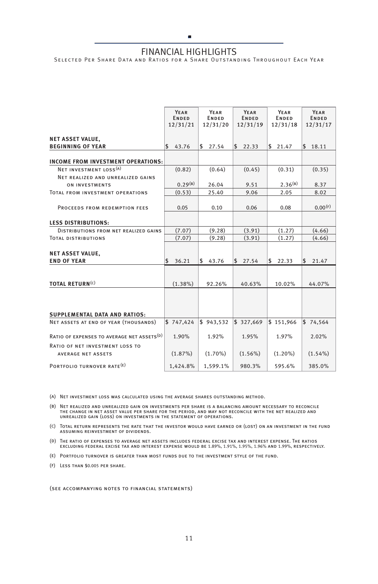## Ē, FINANCIAL HIGHLIGHTS

SELECTED PER SHARE DATA AND RATIOS FOR A SHARE OUTSTANDING THROUGHOUT EACH YEAR

|                                                        | YEAR<br><b>ENDED</b><br>12/31/21 | YEAR<br><b>ENDED</b><br>12/31/20 | YEAR<br><b>ENDED</b><br>12/31/19 | YEAR<br><b>ENDED</b><br>12/31/18 | YEAR<br><b>ENDED</b><br>12/31/17 |
|--------------------------------------------------------|----------------------------------|----------------------------------|----------------------------------|----------------------------------|----------------------------------|
| <b>NET ASSET VALUE,</b>                                |                                  |                                  |                                  |                                  |                                  |
| <b>BEGINNING OF YEAR</b>                               | \$43.76                          | \$27.54                          | 22.33<br>\$                      | \$21.47                          | \$18.11                          |
| INCOME FROM INVESTMENT OPERATIONS:                     |                                  |                                  |                                  |                                  |                                  |
| NET INVESTMENT LOSS <sup>(A)</sup>                     | (0.82)                           | (0.64)                           | (0.45)                           | (0.31)                           | (0.35)                           |
| NET REALIZED AND UNREALIZED GAINS                      |                                  |                                  |                                  |                                  |                                  |
| <b>ON INVESTMENTS</b>                                  | $0.29^{(B)}$                     | 26.04                            | 9.51                             | $2.36^{(B)}$                     | 8.37                             |
| TOTAL FROM INVESTMENT OPERATIONS                       | (0.53)                           | 25.40                            | 9.06                             | 2.05                             | 8.02                             |
|                                                        |                                  |                                  |                                  |                                  |                                  |
| PROCEEDS FROM REDEMPTION FEES                          | 0.05                             | 0.10                             | 0.06                             | 0.08                             | 0.00(F)                          |
|                                                        |                                  |                                  |                                  |                                  |                                  |
| <b>LESS DISTRIBUTIONS:</b>                             |                                  |                                  |                                  |                                  |                                  |
| DISTRIBUTIONS FROM NET REALIZED GAINS                  | (7.07)                           | (9.28)                           | (3.91)                           | (1.27)                           | (4.66)                           |
| <b>TOTAL DISTRIBUTIONS</b>                             | (7.07)                           | (9.28)                           | (3.91)                           | (1.27)                           | (4.66)                           |
|                                                        |                                  |                                  |                                  |                                  |                                  |
| <b>NET ASSET VALUE,</b>                                |                                  |                                  |                                  |                                  |                                  |
| <b>END OF YEAR</b>                                     | \$<br>36.21                      | \$<br>43.76                      | \$<br>27.54                      | \$<br>22.33                      | 5<br>21.47                       |
|                                                        |                                  |                                  |                                  |                                  |                                  |
| <b>TOTAL RETURN(C)</b>                                 | $(1.38\%)$                       | 92.26%                           | 40.63%                           | 10.02%                           | 44.07%                           |
|                                                        |                                  |                                  |                                  |                                  |                                  |
| <b>SUPPLEMENTAL DATA AND RATIOS:</b>                   |                                  |                                  |                                  |                                  |                                  |
| NET ASSETS AT END OF YEAR (THOUSANDS)                  | \$747.424                        | \$943.532                        | \$327,669                        | \$151,966                        | \$74,564                         |
| RATIO OF EXPENSES TO AVERAGE NET ASSETS <sup>(D)</sup> | 1.90%                            | 1.92%                            | 1.95%                            | 1.97%                            | 2.02%                            |
| RATIO OF NET INVESTMENT LOSS TO                        |                                  |                                  |                                  |                                  |                                  |
| <b>AVERAGE NET ASSETS</b>                              | (1.87%)                          | $(1.70\%)$                       | $(1.56\%)$                       | $(1.20\%)$                       | $(1.54\%)$                       |
| PORTFOLIO TURNOVER RATE <sup>(E)</sup>                 | 1.424.8%                         | 1,599.1%                         | 980.3%                           | 595.6%                           | 385.0%                           |

(a) Net investment loss was calculated using the average shares outstanding method.

(B) NET REALIZED AND UNREALIZED GAIN ON INVESTMENTS PER SHARE IS A BALANCING AMOUNT NECESSARY TO RECONCILE<br>THE CHANGE IN NET ASSET VALUE PER SHARE FOR THE PERIOD, AND MAY NOT RECONCILE WITH THE NET REALIZED AND<br>UNREALIZED

(c) Total return represents the rate that the investor would have earned or (lost) on an investment in the fund assuming reinvestment of dividends.

(d) The ratio of expenses to average net assets includes federal excise tax and interest expense. The ratios excluding federal excise tax and interest expense would be 1.89%, 1.91%, 1.95%, 1.96% and 1.99%, respectively.

(e) Portfolio turnover is greater than most funds due to the investment style of the fund.

(f) Less than \$0.005 per share.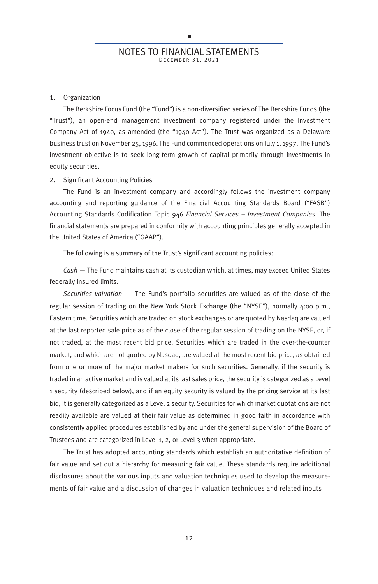#### 1. Organization

The Berkshire Focus Fund (the "Fund") is a non-diversified series of The Berkshire Funds (the "Trust"), an open-end management investment company registered under the Investment Company Act of 1940, as amended (the "1940 Act"). The Trust was organized as a Delaware business trust on November 25, 1996. The Fund commenced operations on July 1, 1997. The Fund's investment objective is to seek long-term growth of capital primarily through investments in equity securities.

#### 2. Significant Accounting Policies

The Fund is an investment company and accordingly follows the investment company accounting and reporting guidance of the Financial Accounting Standards Board ("FASB") Accounting Standards Codification Topic 946 *Financial Services – Investment Companies*. The financial statements are prepared in conformity with accounting principles generally accepted in the United States of America ("GAAP").

The following is a summary of the Trust's significant accounting policies:

*Cash* — The Fund maintains cash at its custodian which, at times, may exceed United States federally insured limits.

*Securities valuation* — The Fund's portfolio securities are valued as of the close of the regular session of trading on the New York Stock Exchange (the "NYSE"), normally 4:00 p.m., Eastern time. Securities which are traded on stock exchanges or are quoted by Nasdaq are valued at the last reported sale price as of the close of the regular session of trading on the NYSE, or, if not traded, at the most recent bid price. Securities which are traded in the over-the-counter market, and which are not quoted by Nasdaq, are valued at the most recent bid price, as obtained from one or more of the major market makers for such securities. Generally, if the security is traded in an active market and is valued at its last sales price, the security is categorized as a Level 1 security (described below), and if an equity security is valued by the pricing service at its last bid, it is generally categorized as a Level 2 security. Securities for which market quotations are not readily available are valued at their fair value as determined in good faith in accordance with consistently applied procedures established by and under the general supervision of the Board of Trustees and are categorized in Level 1, 2, or Level 3 when appropriate.

The Trust has adopted accounting standards which establish an authoritative definition of fair value and set out a hierarchy for measuring fair value. These standards require additional disclosures about the various inputs and valuation techniques used to develop the measurements of fair value and a discussion of changes in valuation techniques and related inputs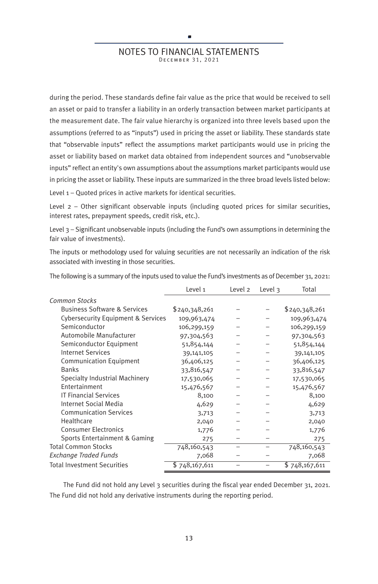## r NOTES TO FINANCIAL STATEMENTS DECEMBER 31, 2021

during the period. These standards define fair value as the price that would be received to sell an asset or paid to transfer a liability in an orderly transaction between market participants at the measurement date. The fair value hierarchy is organized into three levels based upon the assumptions (referred to as "inputs") used in pricing the asset or liability. These standards state that "observable inputs" reflect the assumptions market participants would use in pricing the asset or liability based on market data obtained from independent sources and "unobservable inputs" reflect an entity's own assumptions about the assumptions market participants would use in pricing the asset or liability. These inputs are summarized in the three broad levels listed below:

Level 1 – Quoted prices in active markets for identical securities.

Level 2 – Other significant observable inputs (including quoted prices for similar securities, interest rates, prepayment speeds, credit risk, etc.).

Level 3 – Significant unobservable inputs (including the Fund's own assumptions in determining the fair value of investments).

The inputs or methodology used for valuing securities are not necessarily an indication of the risk associated with investing in those securities.

|                                               | Level 1       | Level 2 | Level $\overline{3}$ | Total         |
|-----------------------------------------------|---------------|---------|----------------------|---------------|
| <b>Common Stocks</b>                          |               |         |                      |               |
| <b>Business Software &amp; Services</b>       | \$240,348,261 |         |                      | \$240,348,261 |
| <b>Cybersecurity Equipment &amp; Services</b> | 109,963,474   |         |                      | 109,963,474   |
| Semiconductor                                 | 106,299,159   |         |                      | 106,299,159   |
| Automobile Manufacturer                       | 97,304,563    |         |                      | 97,304,563    |
| Semiconductor Equipment                       | 51,854,144    |         |                      | 51,854,144    |
| <b>Internet Services</b>                      | 39,141,105    |         |                      | 39,141,105    |
| <b>Communication Equipment</b>                | 36,406,125    |         |                      | 36,406,125    |
| <b>Banks</b>                                  | 33,816,547    |         |                      | 33,816,547    |
| Specialty Industrial Machinery                | 17,530,065    |         |                      | 17,530,065    |
| Entertainment                                 | 15,476,567    |         |                      | 15,476,567    |
| <b>IT Financial Services</b>                  | 8,100         |         |                      | 8,100         |
| <b>Internet Social Media</b>                  | 4,629         |         |                      | 4,629         |
| <b>Communication Services</b>                 | 3,713         |         |                      | 3,713         |
| Healthcare                                    | 2,040         |         |                      | 2,040         |
| <b>Consumer Electronics</b>                   | 1,776         |         |                      | 1,776         |
| Sports Entertainment & Gaming                 | 275           |         |                      | 275           |
| <b>Total Common Stocks</b>                    | 748,160,543   | -       |                      | 748,160,543   |
| <b>Exchange Traded Funds</b>                  | 7,068         |         |                      | 7,068         |
| <b>Total Investment Securities</b>            | \$748,167,611 |         |                      | \$748,167,611 |

The following is a summary of the inputs used to value the Fund's investments as of December 31, 2021:

The Fund did not hold any Level 3 securities during the fiscal year ended December 31, 2021. The Fund did not hold any derivative instruments during the reporting period.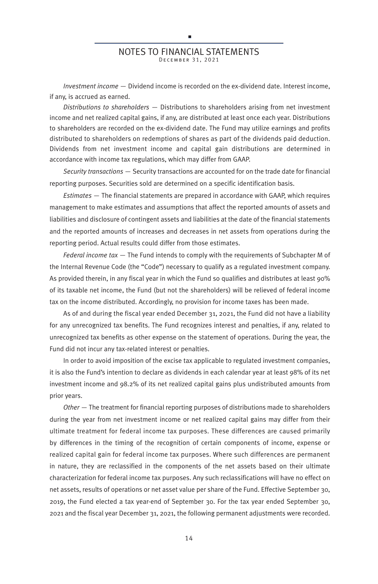#### NOTES TO FINANCIAL STATEMENTS DE CEMBER 31, 2021

п

*Investment income* — Dividend income is recorded on the ex-dividend date. Interest income, if any, is accrued as earned.

*Distributions to shareholders* — Distributions to shareholders arising from net investment income and net realized capital gains, if any, are distributed at least once each year. Distributions to shareholders are recorded on the ex-dividend date. The Fund may utilize earnings and profits distributed to shareholders on redemptions of shares as part of the dividends paid deduction. Dividends from net investment income and capital gain distributions are determined in accordance with income tax regulations, which may differ from GAAP.

*Security transactions* — Security transactions are accounted for on the trade date for financial reporting purposes. Securities sold are determined on a specific identification basis.

*Estimates* — The financial statements are prepared in accordance with GAAP, which requires management to make estimates and assumptions that affect the reported amounts of assets and liabilities and disclosure of contingent assets and liabilities at the date of the financial statements and the reported amounts of increases and decreases in net assets from operations during the reporting period. Actual results could differ from those estimates.

*Federal income tax* — The Fund intends to comply with the requirements of Subchapter M of the Internal Revenue Code (the "Code") necessary to qualify as a regulated investment company. As provided therein, in any fiscal year in which the Fund so qualifies and distributes at least 90% of its taxable net income, the Fund (but not the shareholders) will be relieved of federal income tax on the income distributed. Accordingly, no provision for income taxes has been made.

As of and during the fiscal year ended December 31, 2021, the Fund did not have a liability for any unrecognized tax benefits. The Fund recognizes interest and penalties, if any, related to unrecognized tax benefits as other expense on the statement of operations. During the year, the Fund did not incur any tax-related interest or penalties.

In order to avoid imposition of the excise tax applicable to regulated investment companies, it is also the Fund's intention to declare as dividends in each calendar year at least 98% of its net investment income and 98.2% of its net realized capital gains plus undistributed amounts from prior years.

*Other* — The treatment for financial reporting purposes of distributions made to shareholders during the year from net investment income or net realized capital gains may differ from their ultimate treatment for federal income tax purposes. These differences are caused primarily by differences in the timing of the recognition of certain components of income, expense or realized capital gain for federal income tax purposes. Where such differences are permanent in nature, they are reclassified in the components of the net assets based on their ultimate characterization for federal income tax purposes. Any such reclassifications will have no effect on net assets, results of operations or net asset value per share of the Fund. Effective September 30, 2019, the Fund elected a tax year-end of September 30. For the tax year ended September 30, 2021 and the fiscal year December 31, 2021, the following permanent adjustments were recorded.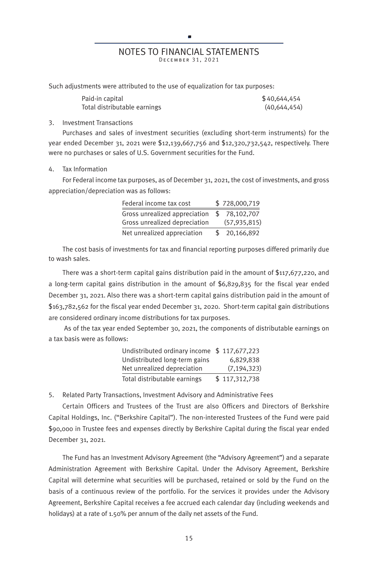### t, NOTES TO FINANCIAL STATEMENTS DE CEMBER 31, 2021

Such adjustments were attributed to the use of equalization for tax purposes:

| Paid-in capital              | \$40,644,454   |
|------------------------------|----------------|
| Total distributable earnings | (40, 644, 454) |

#### 3. Investment Transactions

Purchases and sales of investment securities (excluding short-term instruments) for the year ended December 31, 2021 were \$12,139,667,756 and \$12,320,732,542, respectively. There were no purchases or sales of U.S. Government securities for the Fund.

#### Tax Information

For Federal income tax purposes, as of December 31, 2021, the cost of investments, and gross appreciation/depreciation was as follows:

| Federal income tax cost       |     | \$728,000.719  |
|-------------------------------|-----|----------------|
| Gross unrealized appreciation | \$. | 78,102,707     |
| Gross unrealized depreciation |     | (57, 935, 815) |
| Net unrealized appreciation   | S.  | 20,166,892     |

The cost basis of investments for tax and financial reporting purposes differed primarily due to wash sales.

There was a short-term capital gains distribution paid in the amount of \$117,677,220, and a long-term capital gains distribution in the amount of \$6,829,835 for the fiscal year ended December 31, 2021. Also there was a short-term capital gains distribution paid in the amount of \$163,782,562 for the fiscal year ended December 31, 2020. Short-term capital gain distributions are considered ordinary income distributions for tax purposes.

As of the tax year ended September 30, 2021, the components of distributable earnings on a tax basis were as follows:

| Undistributed ordinary income \$117,677,223 |               |
|---------------------------------------------|---------------|
| Undistributed long-term gains               | 6,829,838     |
| Net unrealized depreciation                 | (7, 194, 323) |
| Total distributable earnings                | \$117,312,738 |

5. Related Party Transactions, Investment Advisory and Administrative Fees

Certain Officers and Trustees of the Trust are also Officers and Directors of Berkshire Capital Holdings, Inc. ("Berkshire Capital"). The non-interested Trustees of the Fund were paid \$90,000 in Trustee fees and expenses directly by Berkshire Capital during the fiscal year ended December 31, 2021.

The Fund has an Investment Advisory Agreement (the "Advisory Agreement") and a separate Administration Agreement with Berkshire Capital. Under the Advisory Agreement, Berkshire Capital will determine what securities will be purchased, retained or sold by the Fund on the basis of a continuous review of the portfolio. For the services it provides under the Advisory Agreement, Berkshire Capital receives a fee accrued each calendar day (including weekends and holidays) at a rate of 1.50% per annum of the daily net assets of the Fund.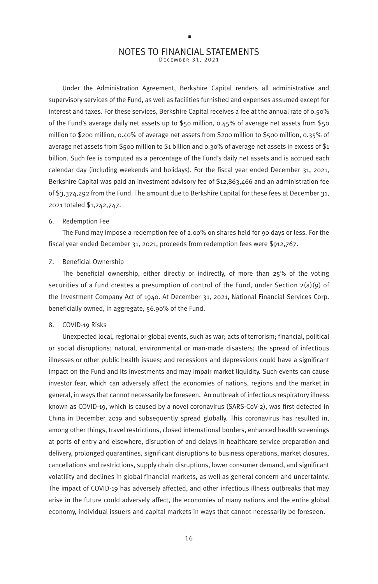#### NOTES TO FINANCIAL STATEMENTS DE CEMBER 31, 2021

×

Under the Administration Agreement, Berkshire Capital renders all administrative and supervisory services of the Fund, as well as facilities furnished and expenses assumed except for interest and taxes. For these services, Berkshire Capital receives a fee at the annual rate of 0.50% of the Fund's average daily net assets up to \$50 million, 0.45% of average net assets from \$50 million to \$200 million, 0.40% of average net assets from \$200 million to \$500 million, 0.35% of average net assets from \$500 million to \$1 billion and 0.30% of average net assets in excess of \$1 billion. Such fee is computed as a percentage of the Fund's daily net assets and is accrued each calendar day (including weekends and holidays). For the fiscal year ended December 31, 2021, Berkshire Capital was paid an investment advisory fee of \$12,863,466 and an administration fee of \$3,374,292 from the Fund. The amount due to Berkshire Capital for these fees at December 31, 2021 totaled \$1,242,747.

#### 6. Redemption Fee

The Fund may impose a redemption fee of 2.00% on shares held for 90 days or less. For the fiscal year ended December 31, 2021, proceeds from redemption fees were \$912,767.

#### 7. Beneficial Ownership

The beneficial ownership, either directly or indirectly, of more than 25% of the voting securities of a fund creates a presumption of control of the Fund, under Section 2(a)(9) of the Investment Company Act of 1940. At December 31, 2021, National Financial Services Corp. beneficially owned, in aggregate, 56.90% of the Fund.

#### 8. COVID-19 Risks

Unexpected local, regional or global events, such as war; acts of terrorism; financial, political or social disruptions; natural, environmental or man-made disasters; the spread of infectious illnesses or other public health issues; and recessions and depressions could have a significant impact on the Fund and its investments and may impair market liquidity. Such events can cause investor fear, which can adversely affect the economies of nations, regions and the market in general, in ways that cannot necessarily be foreseen. An outbreak of infectious respiratory illness known as COVID-19, which is caused by a novel coronavirus (SARS-CoV-2), was first detected in China in December 2019 and subsequently spread globally. This coronavirus has resulted in, among other things, travel restrictions, closed international borders, enhanced health screenings at ports of entry and elsewhere, disruption of and delays in healthcare service preparation and delivery, prolonged quarantines, significant disruptions to business operations, market closures, cancellations and restrictions, supply chain disruptions, lower consumer demand, and significant volatility and declines in global financial markets, as well as general concern and uncertainty. The impact of COVID-19 has adversely affected, and other infectious illness outbreaks that may arise in the future could adversely affect, the economies of many nations and the entire global economy, individual issuers and capital markets in ways that cannot necessarily be foreseen.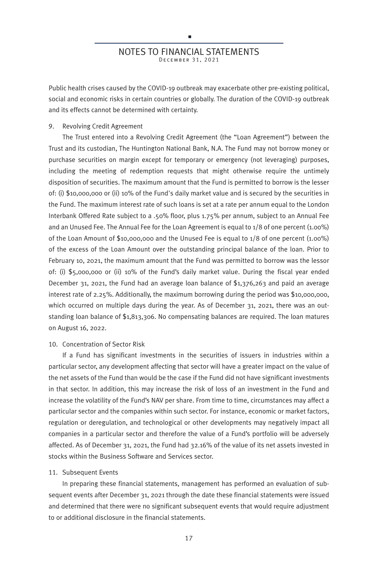### D NOTES TO FINANCIAL STATEMENTS DE CEMBER 31, 2021

Public health crises caused by the COVID-19 outbreak may exacerbate other pre-existing political, social and economic risks in certain countries or globally. The duration of the COVID-19 outbreak and its effects cannot be determined with certainty.

#### 9. Revolving Credit Agreement

The Trust entered into a Revolving Credit Agreement (the "Loan Agreement") between the Trust and its custodian, The Huntington National Bank, N.A. The Fund may not borrow money or purchase securities on margin except for temporary or emergency (not leveraging) purposes, including the meeting of redemption requests that might otherwise require the untimely disposition of securities. The maximum amount that the Fund is permitted to borrow is the lesser of: (i) \$10,000,000 or (ii) 10% of the Fund's daily market value and is secured by the securities in the Fund. The maximum interest rate of such loans is set at a rate per annum equal to the London Interbank Offered Rate subject to a .50% floor, plus 1.75% per annum, subject to an Annual Fee and an Unused Fee. The Annual Fee for the Loan Agreement is equal to 1/8 of one percent (1.00%) of the Loan Amount of \$10,000,000 and the Unused Fee is equal to 1/8 of one percent (1.00%) of the excess of the Loan Amount over the outstanding principal balance of the loan. Prior to February 10, 2021, the maximum amount that the Fund was permitted to borrow was the lessor of: (i) \$5,000,000 or (ii) 10% of the Fund's daily market value. During the fiscal year ended December 31, 2021, the Fund had an average loan balance of \$1,376,263 and paid an average interest rate of 2.25%. Additionally, the maximum borrowing during the period was \$10,000,000, which occurred on multiple days during the year. As of December 31, 2021, there was an outstanding loan balance of \$1,813,306. No compensating balances are required. The loan matures on August 16, 2022.

#### 10. Concentration of Sector Risk

If a Fund has significant investments in the securities of issuers in industries within a particular sector, any development affecting that sector will have a greater impact on the value of the net assets of the Fund than would be the case if the Fund did not have significant investments in that sector. In addition, this may increase the risk of loss of an investment in the Fund and increase the volatility of the Fund's NAV per share. From time to time, circumstances may affect a particular sector and the companies within such sector. For instance, economic or market factors, regulation or deregulation, and technological or other developments may negatively impact all companies in a particular sector and therefore the value of a Fund's portfolio will be adversely affected. As of December 31, 2021, the Fund had 32.16% of the value of its net assets invested in stocks within the Business Software and Services sector.

#### 11. Subsequent Events

In preparing these financial statements, management has performed an evaluation of subsequent events after December 31, 2021 through the date these financial statements were issued and determined that there were no significant subsequent events that would require adjustment to or additional disclosure in the financial statements.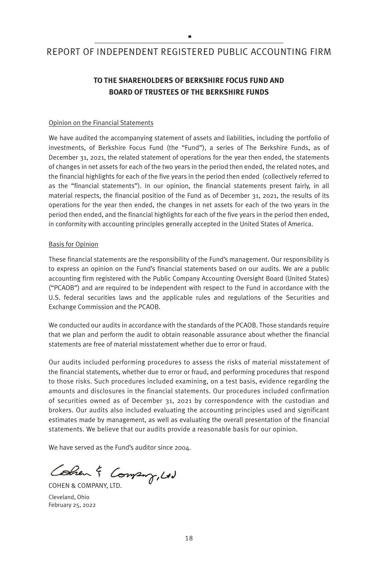## × REPORT OF INDEPENDENT REGISTERED PUBLIC ACCOUNTING FIRM

## **TO THE SHAREHOLDERS OF BERKSHIRE FOCUS FUND AND BOARD OF TRUSTEES OF THE BERKSHIRE FUNDS**

#### Opinion on the Financial Statements

We have audited the accompanying statement of assets and liabilities, including the portfolio of investments, of Berkshire Focus Fund (the "Fund"), a series of The Berkshire Funds, as of December 31, 2021, the related statement of operations for the year then ended, the statements of changes in net assets for each of the two years in the period then ended, the related notes, and the financial highlights for each of the five years in the period then ended (collectively referred to as the "financial statements"). In our opinion, the financial statements present fairly, in all material respects, the financial position of the Fund as of December 31, 2021, the results of its operations for the year then ended, the changes in net assets for each of the two years in the period then ended, and the financial highlights for each of the five years in the period then ended, in conformity with accounting principles generally accepted in the United States of America.

#### Basis for Opinion

These financial statements are the responsibility of the Fund's management. Our responsibility is to express an opinion on the Fund's financial statements based on our audits. We are a public accounting firm registered with the Public Company Accounting Oversight Board (United States) ("PCAOB") and are required to be independent with respect to the Fund in accordance with the U.S. federal securities laws and the applicable rules and regulations of the Securities and Exchange Commission and the PCAOB.

We conducted our audits in accordance with the standards of the PCAOB. Those standards require that we plan and perform the audit to obtain reasonable assurance about whether the financial statements are free of material misstatement whether due to error or fraud.

Our audits included performing procedures to assess the risks of material misstatement of the financial statements, whether due to error or fraud, and performing procedures that respond to those risks. Such procedures included examining, on a test basis, evidence regarding the amounts and disclosures in the financial statements. Our procedures included confirmation of securities owned as of December 31, 2021 by correspondence with the custodian and brokers. Our audits also included evaluating the accounting principles used and significant estimates made by management, as well as evaluating the overall presentation of the financial statements. We believe that our audits provide a reasonable basis for our opinion.

We have served as the Fund's auditor since 2004.

Comen & Company, Ltd

Cleveland, Ohio February 25, 2022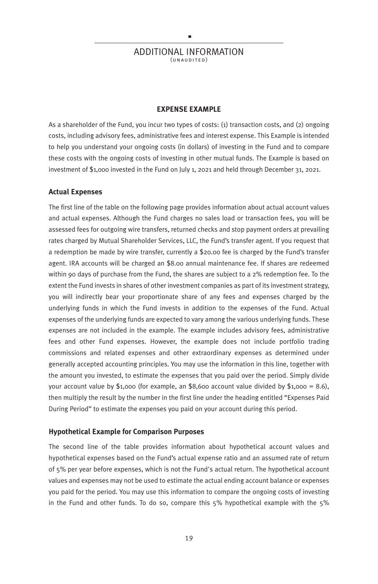#### ADDITIONAL INFORMATION  $(UNAUDITED)$

×

#### **EXPENSE EXAMPLE**

As a shareholder of the Fund, you incur two types of costs: (1) transaction costs, and (2) ongoing costs, including advisory fees, administrative fees and interest expense. This Example is intended to help you understand your ongoing costs (in dollars) of investing in the Fund and to compare these costs with the ongoing costs of investing in other mutual funds. The Example is based on investment of \$1,000 invested in the Fund on July 1, 2021 and held through December 31, 2021.

#### **Actual Expenses**

The first line of the table on the following page provides information about actual account values and actual expenses. Although the Fund charges no sales load or transaction fees, you will be assessed fees for outgoing wire transfers, returned checks and stop payment orders at prevailing rates charged by Mutual Shareholder Services, LLC, the Fund's transfer agent. If you request that a redemption be made by wire transfer, currently a \$20.00 fee is charged by the Fund's transfer agent. IRA accounts will be charged an \$8.00 annual maintenance fee. If shares are redeemed within 90 days of purchase from the Fund, the shares are subject to a 2% redemption fee. To the extent the Fund invests in shares of other investment companies as part of its investment strategy, you will indirectly bear your proportionate share of any fees and expenses charged by the underlying funds in which the Fund invests in addition to the expenses of the Fund. Actual expenses of the underlying funds are expected to vary among the various underlying funds. These expenses are not included in the example. The example includes advisory fees, administrative fees and other Fund expenses. However, the example does not include portfolio trading commissions and related expenses and other extraordinary expenses as determined under generally accepted accounting principles. You may use the information in this line, together with the amount you invested, to estimate the expenses that you paid over the period. Simply divide your account value by  $$1,000$  (for example, an \$8,600 account value divided by  $$1,000 = 8.6$ ), then multiply the result by the number in the first line under the heading entitled "Expenses Paid During Period" to estimate the expenses you paid on your account during this period.

#### **Hypothetical Example for Comparison Purposes**

The second line of the table provides information about hypothetical account values and hypothetical expenses based on the Fund's actual expense ratio and an assumed rate of return of 5% per year before expenses, which is not the Fund's actual return. The hypothetical account values and expenses may not be used to estimate the actual ending account balance or expenses you paid for the period. You may use this information to compare the ongoing costs of investing in the Fund and other funds. To do so, compare this 5% hypothetical example with the 5%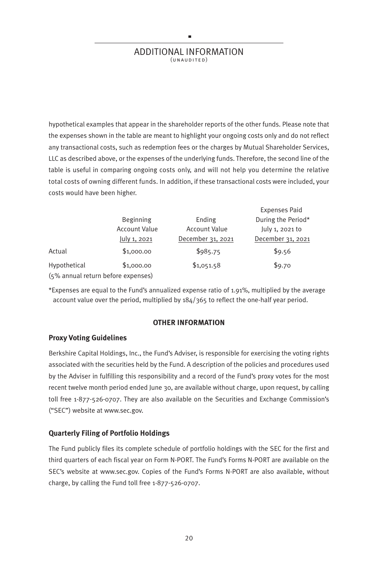#### ADDITIONAL INFORMATION  $(UNAUDITED)$

×

hypothetical examples that appear in the shareholder reports of the other funds. Please note that the expenses shown in the table are meant to highlight your ongoing costs only and do not reflect any transactional costs, such as redemption fees or the charges by Mutual Shareholder Services, LLC as described above, or the expenses of the underlying funds. Therefore, the second line of the table is useful in comparing ongoing costs only, and will not help you determine the relative total costs of owning different funds. In addition, if these transactional costs were included, your costs would have been higher.

 $E \times E$ 

|                                    |                      |                      | Expenses Paid      |
|------------------------------------|----------------------|----------------------|--------------------|
|                                    | Beginning            | Ending               | During the Period* |
|                                    | <b>Account Value</b> | <b>Account Value</b> | July 1, 2021 to    |
|                                    | July 1, 2021         | December 31, 2021    | December 31, 2021  |
| Actual                             | \$1,000.00           | \$985.75             | \$9.56             |
| Hypothetical                       | \$1,000.00           | \$1,051.58           | \$9.70             |
| (5% annual return before expenses) |                      |                      |                    |

\*Expenses are equal to the Fund's annualized expense ratio of 1.91%, multiplied by the average account value over the period, multiplied by 184/365 to reflect the one-half year period.

#### **OTHER INFORMATION**

#### **Proxy Voting Guidelines**

Berkshire Capital Holdings, Inc., the Fund's Adviser, is responsible for exercising the voting rights associated with the securities held by the Fund. A description of the policies and procedures used by the Adviser in fulfilling this responsibility and a record of the Fund's proxy votes for the most recent twelve month period ended June 30, are available without charge, upon request, by calling toll free 1-877-526-0707. They are also available on the Securities and Exchange Commission's ("SEC") website at www.sec.gov.

#### **Quarterly Filing of Portfolio Holdings**

The Fund publicly files its complete schedule of portfolio holdings with the SEC for the first and third quarters of each fiscal year on Form N-PORT. The Fund's Forms N-PORT are available on the SEC's website at www.sec.gov. Copies of the Fund's Forms N-PORT are also available, without charge, by calling the Fund toll free 1-877-526-0707.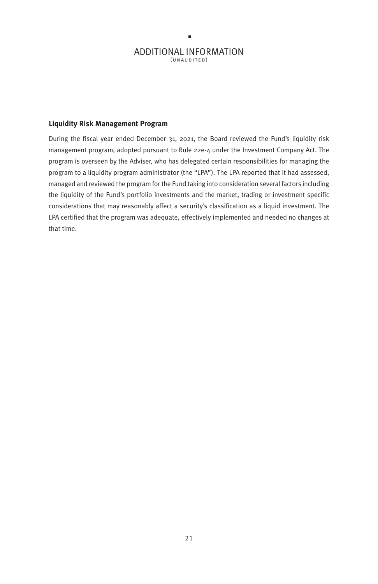## r ADDITIONAL INFORMATION  $(UNAUDITED)$

#### **Liquidity Risk Management Program**

During the fiscal year ended December 31, 2021, the Board reviewed the Fund's liquidity risk management program, adopted pursuant to Rule 22e-4 under the Investment Company Act. The program is overseen by the Adviser, who has delegated certain responsibilities for managing the program to a liquidity program administrator (the "LPA"). The LPA reported that it had assessed, managed and reviewed the program for the Fund taking into consideration several factors including the liquidity of the Fund's portfolio investments and the market, trading or investment specific considerations that may reasonably affect a security's classification as a liquid investment. The LPA certified that the program was adequate, effectively implemented and needed no changes at that time.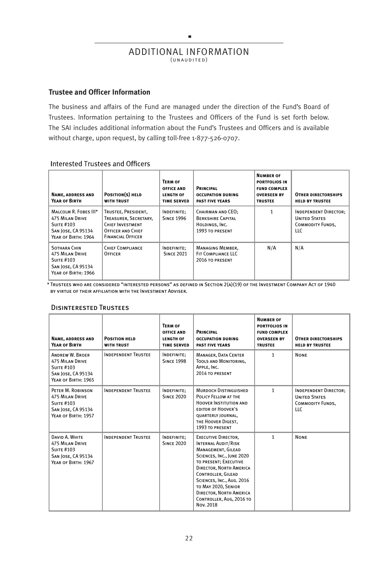### r ADDITIONAL INFORMATION  $(UNAUDITED)$

#### **Trustee and Officer Information**

The business and affairs of the Fund are managed under the direction of the Fund's Board of Trustees. Information pertaining to the Trustees and Officers of the Fund is set forth below. The SAI includes additional information about the Fund's Trustees and Officers and is available without charge, upon request, by calling toll-free 1-877-526-0707.

#### Interested Trustees and Officers

| <b>NAME, ADDRESS AND</b><br>YEAR OF BIRTH                                                                         | POSITION(S) HELD<br><b>WITH TRUST</b>                                                                                    | <b>TERM OF</b><br><b>OFFICE AND</b><br><b>LENGTH OF</b><br><b>TIME SERVED</b> | <b>PRINCIPAL</b><br><b>OCCUPATION DURING</b><br><b>PAST FIVE YEARS</b>             | <b>NUMBER OF</b><br><b>PORTFOLIOS IN</b><br><b>FUND COMPLEX</b><br><b>OVERSEEN BY</b><br><b>TRUSTEE</b> | <b>OTHER DIRECTORSHIPS</b><br><b>HELD BY TRUSTEE</b>                                    |
|-------------------------------------------------------------------------------------------------------------------|--------------------------------------------------------------------------------------------------------------------------|-------------------------------------------------------------------------------|------------------------------------------------------------------------------------|---------------------------------------------------------------------------------------------------------|-----------------------------------------------------------------------------------------|
| MALCOLM R. FOBES III*<br><b>475 MILAN DRIVE</b><br><b>SUITE #103</b><br>SAN JOSE, CA 95134<br>YEAR OF BIRTH: 1964 | TRUSTEE, PRESIDENT.<br>TREASURER, SECRETARY.<br>CHIEF INVESTMENT<br><b>OFFICER AND CHIEF</b><br><b>FINANCIAL OFFICER</b> | INDEFINITE;<br><b>SINCE 1996</b>                                              | CHAIRMAN AND CEO:<br><b>BERKSHIRE CAPITAL</b><br>HOLDINGS, INC.<br>1993 TO PRESENT | 1                                                                                                       | <b>INDEPENDENT DIRECTOR:</b><br><b>UNITED STATES</b><br><b>COMMODITY FUNDS.</b><br>LLC. |
| <b>SOTHARA CHIN</b><br><b>475 MILAN DRIVE</b><br><b>SUITE #103</b><br>SAN JOSE, CA 95134<br>YEAR OF BIRTH: 1966   | CHIEF COMPLIANCE<br><b>OFFICER</b>                                                                                       | <b>INDEFINITE:</b><br><b>SINCE 2021</b>                                       | <b>MANAGING MEMBER.</b><br>FIT COMPLIANCE LLC<br>2016 TO PRESENT                   | N/A                                                                                                     | N/A                                                                                     |

 $^\star$  Trustees who are considered "interested persons" as defined in Section 2(a)(19) of the Investment Company Act of 1940 by virtue of their affiliation with the Investment Adviser.

#### Disinterested Trustees

| <b>NAME, ADDRESS AND</b><br>YEAR OF BIRTH                                                                                 | <b>POSITION HELD</b><br><b>WITH TRUST</b> | <b>TERM OF</b><br><b>OFFICE AND</b><br><b>LENGTH OF</b><br><b>TIME SERVED</b> | <b>PRINCIPAL</b><br><b>OCCUPATION DURING</b><br><b>PAST FIVE YEARS</b>                                                                                                                                                                                                                                               | <b>NUMBER OF</b><br>PORTFOLIOS IN<br><b>FUND COMPLEX</b><br><b>OVERSEEN BY</b><br><b>TRUSTEE</b> | <b>OTHER DIRECTORSHIPS</b><br><b>HELD BY TRUSTEE</b>                                    |
|---------------------------------------------------------------------------------------------------------------------------|-------------------------------------------|-------------------------------------------------------------------------------|----------------------------------------------------------------------------------------------------------------------------------------------------------------------------------------------------------------------------------------------------------------------------------------------------------------------|--------------------------------------------------------------------------------------------------|-----------------------------------------------------------------------------------------|
| <b>ANDREW W. BROER</b><br><b>475 MILAN DRIVE</b><br><b>SUITE #103</b><br><b>SAN JOSE, CA 95134</b><br>YEAR OF BIRTH: 1965 | <b>INDEPENDENT TRUSTEE</b>                | INDEFINITE;<br><b>SINCE 1998</b>                                              | MANAGER, DATA CENTER<br><b>TOOLS AND MONITORING.</b><br>APPLE, INC.<br>2014 TO PRESENT                                                                                                                                                                                                                               | $\mathbf{1}$                                                                                     | <b>NONE</b>                                                                             |
| PETER M. ROBINSON<br><b>475 MILAN DRIVE</b><br><b>SUITE #103</b><br><b>SAN JOSE, CA 95134</b><br>YEAR OF BIRTH: 1957      | <b>INDEPENDENT TRUSTEE</b>                | <b>INDEFINITE:</b><br><b>SINCE 2020</b>                                       | <b>MURDOCH DISTINGUISHED</b><br>POLICY FELLOW AT THE<br>HOOVER INSTITUTION AND<br><b>EDITOR OF HOOVER'S</b><br>QUARTERLY JOURNAL,<br>THE HOOVER DIGEST.<br>1993 TO PRESENT                                                                                                                                           | $\mathbf{1}$                                                                                     | <b>INDEPENDENT DIRECTOR;</b><br><b>UNITED STATES</b><br><b>COMMODITY FUNDS.</b><br>LLC. |
| DAVID A. WHITE<br><b>475 MILAN DRIVE</b><br><b>SUITE #103</b><br><b>SAN JOSE, CA 95134</b><br>YEAR OF BIRTH: 1967         | <b>INDEPENDENT TRUSTEE</b>                | <b>INDEFINITE:</b><br><b>SINCE 2020</b>                                       | <b>EXECUTIVE DIRECTOR.</b><br>INTERNAL AUDIT/RISK<br>MANAGEMENT, GILEAD<br>SCIENCES, INC., JUNE 2020<br>TO PRESENT: EXECUTIVE<br><b>DIRECTOR, NORTH AMERICA</b><br><b>CONTROLLER, GILEAD</b><br>SCIENCES, INC., AUG. 2016<br>TO MAY 2020, SENIOR<br>DIRECTOR, NORTH AMERICA<br>CONTROLLER, AUG, 2016 TO<br>Nov. 2018 | $\mathbf{1}$                                                                                     | <b>NONE</b>                                                                             |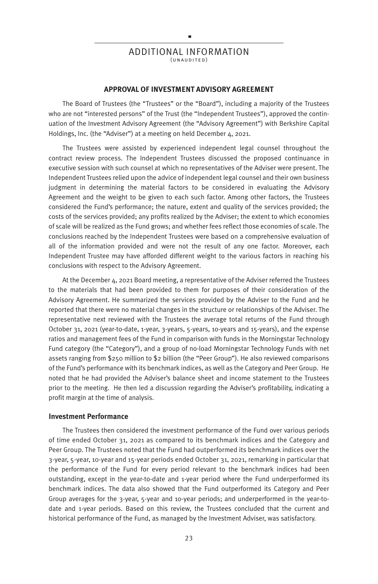#### ADDITIONAL INFORMATION  $(UNAUDITER)$

×

#### **APPROVAL OF INVESTMENT ADVISORY AGREEMENT**

The Board of Trustees (the "Trustees" or the "Board"), including a majority of the Trustees who are not "interested persons" of the Trust (the "Independent Trustees"), approved the continuation of the Investment Advisory Agreement (the "Advisory Agreement") with Berkshire Capital Holdings, Inc. (the "Adviser") at a meeting on held December 4, 2021.

The Trustees were assisted by experienced independent legal counsel throughout the contract review process. The Independent Trustees discussed the proposed continuance in executive session with such counsel at which no representatives of the Adviser were present. The Independent Trustees relied upon the advice of independent legal counsel and their own business judgment in determining the material factors to be considered in evaluating the Advisory Agreement and the weight to be given to each such factor. Among other factors, the Trustees considered the Fund's performance; the nature, extent and quality of the services provided; the costs of the services provided; any profits realized by the Adviser; the extent to which economies of scale will be realized as the Fund grows; and whether fees reflect those economies of scale. The conclusions reached by the Independent Trustees were based on a comprehensive evaluation of all of the information provided and were not the result of any one factor. Moreover, each Independent Trustee may have afforded different weight to the various factors in reaching his conclusions with respect to the Advisory Agreement.

At the December 4, 2021 Board meeting, a representative of the Adviser referred the Trustees to the materials that had been provided to them for purposes of their consideration of the Advisory Agreement. He summarized the services provided by the Adviser to the Fund and he reported that there were no material changes in the structure or relationships of the Adviser. The representative next reviewed with the Trustees the average total returns of the Fund through October 31, 2021 (year-to-date, 1-year, 3-years, 5-years, 10-years and 15-years), and the expense ratios and management fees of the Fund in comparison with funds in the Morningstar Technology Fund category (the "Category"), and a group of no-load Morningstar Technology Funds with net assets ranging from \$250 million to \$2 billion (the "Peer Group"). He also reviewed comparisons of the Fund's performance with its benchmark indices, as well as the Category and Peer Group. He noted that he had provided the Adviser's balance sheet and income statement to the Trustees prior to the meeting. He then led a discussion regarding the Adviser's profitability, indicating a profit margin at the time of analysis.

#### **Investment Performance**

The Trustees then considered the investment performance of the Fund over various periods of time ended October 31, 2021 as compared to its benchmark indices and the Category and Peer Group. The Trustees noted that the Fund had outperformed its benchmark indices over the 3-year, 5-year, 10-year and 15-year periods ended October 31, 2021, remarking in particular that the performance of the Fund for every period relevant to the benchmark indices had been outstanding, except in the year-to-date and 1-year period where the Fund underperformed its benchmark indices. The data also showed that the Fund outperformed its Category and Peer Group averages for the 3-year, 5-year and 10-year periods; and underperformed in the year-todate and 1-year periods. Based on this review, the Trustees concluded that the current and historical performance of the Fund, as managed by the Investment Adviser, was satisfactory.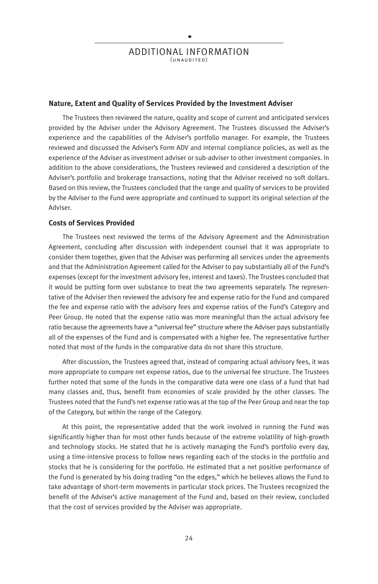ADDITIONAL INFORMATION  $(\cup \cup \cup \cup \cup \cup \cup \cup$ 

×

#### **Nature, Extent and Quality of Services Provided by the Investment Adviser**

The Trustees then reviewed the nature, quality and scope of current and anticipated services provided by the Adviser under the Advisory Agreement. The Trustees discussed the Adviser's experience and the capabilities of the Adviser's portfolio manager. For example, the Trustees reviewed and discussed the Adviser's Form ADV and internal compliance policies, as well as the experience of the Adviser as investment adviser or sub-adviser to other investment companies. In addition to the above considerations, the Trustees reviewed and considered a description of the Adviser's portfolio and brokerage transactions, noting that the Adviser received no soft dollars. Based on this review, the Trustees concluded that the range and quality of services to be provided by the Adviser to the Fund were appropriate and continued to support its original selection of the Adviser.

#### **Costs of Services Provided**

The Trustees next reviewed the terms of the Advisory Agreement and the Administration Agreement, concluding after discussion with independent counsel that it was appropriate to consider them together, given that the Adviser was performing all services under the agreements and that the Administration Agreement called for the Adviser to pay substantially all of the Fund's expenses (except for the investment advisory fee, interest and taxes). The Trustees concluded that it would be putting form over substance to treat the two agreements separately. The representative of the Adviser then reviewed the advisory fee and expense ratio for the Fund and compared the fee and expense ratio with the advisory fees and expense ratios of the Fund's Category and Peer Group. He noted that the expense ratio was more meaningful than the actual advisory fee ratio because the agreements have a "universal fee" structure where the Adviser pays substantially all of the expenses of the Fund and is compensated with a higher fee. The representative further noted that most of the funds in the comparative data do not share this structure.

After discussion, the Trustees agreed that, instead of comparing actual advisory fees, it was more appropriate to compare net expense ratios, due to the universal fee structure. The Trustees further noted that some of the funds in the comparative data were one class of a fund that had many classes and, thus, benefit from economies of scale provided by the other classes. The Trustees noted that the Fund's net expense ratio was at the top of the Peer Group and near the top of the Category, but within the range of the Category.

At this point, the representative added that the work involved in running the Fund was significantly higher than for most other funds because of the extreme volatility of high-growth and technology stocks. He stated that he is actively managing the Fund's portfolio every day, using a time-intensive process to follow news regarding each of the stocks in the portfolio and stocks that he is considering for the portfolio. He estimated that a net positive performance of the Fund is generated by his doing trading "on the edges," which he believes allows the Fund to take advantage of short-term movements in particular stock prices. The Trustees recognized the benefit of the Adviser's active management of the Fund and, based on their review, concluded that the cost of services provided by the Adviser was appropriate.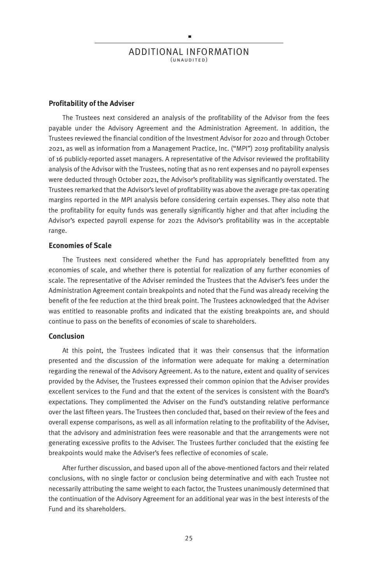ADDITIONAL INFORMATION  $(\cup \cup \cup \cup \cup \cup \cup \cup$ )

×

#### **Profitability of the Adviser**

The Trustees next considered an analysis of the profitability of the Advisor from the fees payable under the Advisory Agreement and the Administration Agreement. In addition, the Trustees reviewed the financial condition of the Investment Advisor for 2020 and through October 2021, as well as information from a Management Practice, Inc. ("MPI") 2019 profitability analysis of 16 publicly-reported asset managers. A representative of the Advisor reviewed the profitability analysis of the Advisor with the Trustees, noting that as no rent expenses and no payroll expenses were deducted through October 2021, the Advisor's profitability was significantly overstated. The Trustees remarked that the Advisor's level of profitability was above the average pre-tax operating margins reported in the MPI analysis before considering certain expenses. They also note that the profitability for equity funds was generally significantly higher and that after including the Advisor's expected payroll expense for 2021 the Advisor's profitability was in the acceptable range.

#### **Economies of Scale**

The Trustees next considered whether the Fund has appropriately benefitted from any economies of scale, and whether there is potential for realization of any further economies of scale. The representative of the Adviser reminded the Trustees that the Adviser's fees under the Administration Agreement contain breakpoints and noted that the Fund was already receiving the benefit of the fee reduction at the third break point. The Trustees acknowledged that the Adviser was entitled to reasonable profits and indicated that the existing breakpoints are, and should continue to pass on the benefits of economies of scale to shareholders.

#### **Conclusion**

At this point, the Trustees indicated that it was their consensus that the information presented and the discussion of the information were adequate for making a determination regarding the renewal of the Advisory Agreement. As to the nature, extent and quality of services provided by the Adviser, the Trustees expressed their common opinion that the Adviser provides excellent services to the Fund and that the extent of the services is consistent with the Board's expectations. They complimented the Adviser on the Fund's outstanding relative performance over the last fifteen years. The Trustees then concluded that, based on their review of the fees and overall expense comparisons, as well as all information relating to the profitability of the Adviser, that the advisory and administration fees were reasonable and that the arrangements were not generating excessive profits to the Adviser. The Trustees further concluded that the existing fee breakpoints would make the Adviser's fees reflective of economies of scale.

After further discussion, and based upon all of the above-mentioned factors and their related conclusions, with no single factor or conclusion being determinative and with each Trustee not necessarily attributing the same weight to each factor, the Trustees unanimously determined that the continuation of the Advisory Agreement for an additional year was in the best interests of the Fund and its shareholders.